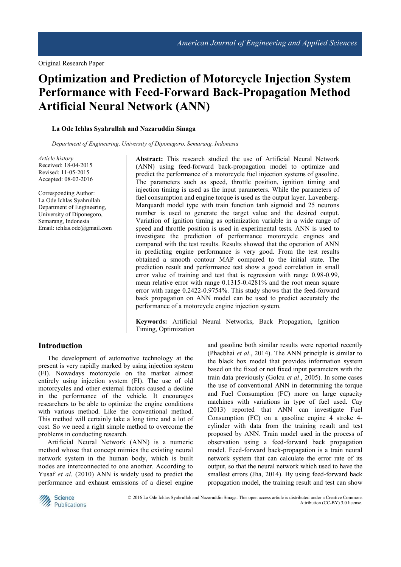# **Optimization and Prediction of Motorcycle Injection System Performance with Feed-Forward Back-Propagation Method Artificial Neural Network (ANN)**

#### **La Ode Ichlas Syahrullah and Nazaruddin Sinaga**

*Department of Engineering, University of Diponegoro, Semarang, Indonesia*

*Article history*  Received: 18-04-2015 Revised: 11-05-2015 Accepted: 08-02-2016

Corresponding Author: La Ode Ichlas Syahrullah Department of Engineering, University of Diponegoro, Semarang, Indonesia Email: ichlas.ode@gmail.com

**Abstract:** This research studied the use of Artificial Neural Network (ANN) using feed-forward back-propagation model to optimize and predict the performance of a motorcycle fuel injection systems of gasoline. The parameters such as speed, throttle position, ignition timing and injection timing is used as the input parameters. While the parameters of fuel consumption and engine torque is used as the output layer. Lavenberg-Marquardt model type with train function tanh sigmoid and 25 neurons number is used to generate the target value and the desired output. Variation of ignition timing as optimization variable in a wide range of speed and throttle position is used in experimental tests. ANN is used to investigate the prediction of performance motorcycle engines and compared with the test results. Results showed that the operation of ANN in predicting engine performance is very good. From the test results obtained a smooth contour MAP compared to the initial state. The prediction result and performance test show a good correlation in small error value of training and test that is regression with range 0.98-0.99, mean relative error with range 0.1315-0.4281% and the root mean square error with range 0.2422-0.9754%. This study shows that the feed-forward back propagation on ANN model can be used to predict accurately the performance of a motorcycle engine injection system.

**Keywords:** Artificial Neural Networks, Back Propagation, Ignition Timing, Optimization

# **Introduction**

The development of automotive technology at the present is very rapidly marked by using injection system (FI). Nowadays motorcycle on the market almost entirely using injection system (FI). The use of old motorcycles and other external factors caused a decline in the performance of the vehicle. It encourages researchers to be able to optimize the engine conditions with various method. Like the conventional method. This method will certainly take a long time and a lot of cost. So we need a right simple method to overcome the problems in conducting research.

Artificial Neural Network (ANN) is a numeric method whose that concept mimics the existing neural network system in the human body, which is built nodes are interconnected to one another. According to Yusaf *et al*. (2010) ANN is widely used to predict the performance and exhaust emissions of a diesel engine and gasoline both similar results were reported recently (Phacbhai *et al*., 2014). The ANN principle is similar to the black box model that provides information system based on the fixed or not fixed input parameters with the train data previously (Golcu *et al*., 2005). In some cases the use of conventional ANN in determining the torque and Fuel Consumption (FC) more on large capacity machines with variations in type of fuel used. Cay (2013) reported that ANN can investigate Fuel Consumption (FC) on a gasoline engine 4 stroke 4 cylinder with data from the training result and test proposed by ANN. Train model used in the process of observation using a feed-forward back propagation model. Feed-forward back-propagation is a train neural network system that can calculate the error rate of its output, so that the neural network which used to have the smallest errors (Jha, 2014). By using feed-forward back propagation model, the training result and test can show



 © 2016 La Ode Ichlas Syahrullah and Nazaruddin Sinaga. This open access article is distributed under a Creative Commons Attribution (CC-BY) 3.0 license.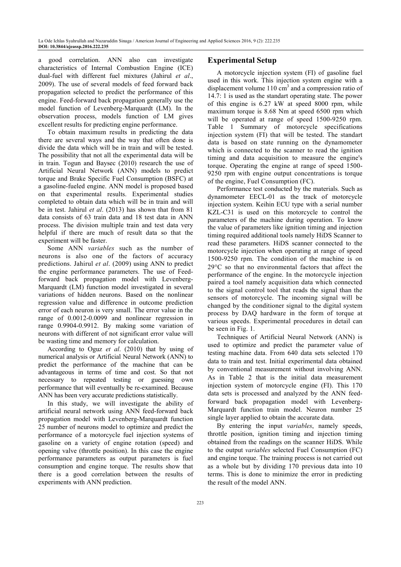a good correlation. ANN also can investigate characteristics of Internal Combustion Engine (ICE) dual-fuel with different fuel mixtures (Jahirul *et al*., 2009). The use of several models of feed forward back propagation selected to predict the performance of this engine. Feed-forward back propagation generally use the model function of Levenberg-Marquardt (LM). In the observation process, models function of LM gives excellent results for predicting engine performance.

To obtain maximum results in predicting the data there are several ways and the way that often done is divide the data which will be in train and will be tested. The possibility that not all the experimental data will be in train. Togun and Baysec (2010) research the use of Artificial Neural Network (ANN) models to predict torque and Brake Specific Fuel Consumption (BSFC) at a gasoline-fueled engine. ANN model is proposed based on that experimental results. Experimental studies completed to obtain data which will be in train and will be in test. Jahirul *et al*. (2013) has shown that from 81 data consists of 63 train data and 18 test data in ANN process. The division multiple train and test data very helpful if there are much of result data so that the experiment will be faster.

Some ANN *variables* such as the number of neurons is also one of the factors of accuracy predictions. Jahirul *et al*. (2009) using ANN to predict the engine performance parameters. The use of Feedforward back propagation model with Levenberg-Marquardt (LM) function model investigated in several variations of hidden neurons. Based on the nonlinear regression value and difference in outcome prediction error of each neuron is very small. The error value in the range of 0.0012-0.0099 and nonlinear regression in range 0.9904-0.9912. By making some variation of neurons with different of not significant error value will be wasting time and memory for calculation.

According to Oguz *et al*. (2010) that by using of numerical analysis or Artificial Neural Network (ANN) to predict the performance of the machine that can be advantageous in terms of time and cost. So that not necessary to repeated testing or guessing own performance that will eventually be re-examined. Because ANN has been very accurate predictions statistically.

In this study, we will investigate the ability of artificial neural network using ANN feed-forward back propagation model with Levenberg-Marquardt function 25 number of neurons model to optimize and predict the performance of a motorcycle fuel injection systems of gasoline on a variety of engine rotation (speed) and opening valve (throttle position). In this case the engine performance parameters as output parameters is fuel consumption and engine torque. The results show that there is a good correlation between the results of experiments with ANN prediction.

# **Experimental Setup**

A motorcycle injection system (FI) of gasoline fuel used in this work. This injection system engine with a displacement volume  $110 \text{ cm}^3$  and a compression ratio of 14.7: 1 is used as the standart operating state. The power of this engine is 6.27 kW at speed 8000 rpm, while maximum torque is 8.68 Nm at speed 6500 rpm which will be operated at range of speed 1500-9250 rpm. Table 1 Summary of motorcycle specifications injection system (FI) that will be tested. The standart data is based on state running on the dynamometer which is connected to the scanner to read the ignition timing and data acquisition to measure the engine's torque. Operating the engine at range of speed 1500- 9250 rpm with engine output concentrations is torque of the engine, Fuel Consumption (FC).

Performance test conducted by the materials. Such as dynamometer EECL-01 as the track of motorcycle injection system. Keihin ECU type with a serial number KZL-C31 is used on this motorcycle to control the parameters of the machine during operation. To know the value of parameters like ignition timing and injection timing required additional tools namely HiDS Scanner to read these parameters. HiDS scanner connected to the motorcycle injection when operating at range of speed 1500-9250 rpm. The condition of the machine is on 29°C so that no environmental factors that affect the performance of the engine. In the motorcycle injection paired a tool namely acquisition data which connected to the signal control tool that reads the signal than the sensors of motorcycle. The incoming signal will be changed by the conditioner signal to the digital system process by DAQ hardware in the form of torque at various speeds. Experimental procedures in detail can be seen in Fig. 1.

Techniques of Artificial Neural Network (ANN) is used to optimize and predict the parameter value of testing machine data. From 640 data sets selected 170 data to train and test. Initial experimental data obtained by conventional measurement without involving ANN. As in Table 2 that is the initial data measurement injection system of motorcycle engine (FI). This 170 data sets is processed and analyzed by the ANN feedforward back propagation model with Levenberg-Marquardt function train model. Neuron number 25 single layer applied to obtain the accurate data.

By entering the input *variables*, namely speeds, throttle position, ignition timing and injection timing obtained from the readings on the scanner HiDS. While to the output *variables* selected Fuel Consumption (FC) and engine torque. The training process is not carried out as a whole but by dividing 170 previous data into 10 terms. This is done to minimize the error in predicting the result of the model ANN.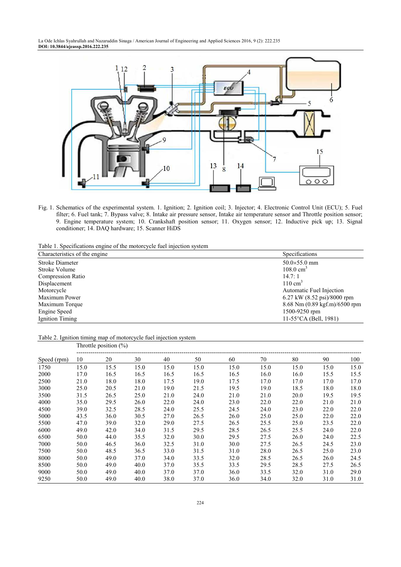

Fig. 1. Schematics of the experimental system. 1. Ignition; 2. Ignition coil; 3. Injector; 4. Electronic Control Unit (ECU); 5. Fuel filter; 6. Fuel tank; 7. Bypass valve; 8. Intake air pressure sensor, Intake air temperature sensor and Throttle position sensor; 9. Engine temperature system; 10. Crankshaft position sensor; 11. Oxygen sensor; 12. Inductive pick up; 13. Signal conditioner; 14. DAQ hardware; 15. Scanner HiDS

Table 1. Specifications engine of the motorcycle fuel injection system

| Characteristics of the engine | Specifications                                         |  |  |  |
|-------------------------------|--------------------------------------------------------|--|--|--|
| Stroke Diameter               | $50.0 \times 55.0$ mm                                  |  |  |  |
| Stroke Volume                 | $108.0 \text{ cm}^3$                                   |  |  |  |
| <b>Compression Ratio</b>      | 14.7:1                                                 |  |  |  |
| Displacement                  | $110 \text{ cm}^3$                                     |  |  |  |
| Motorcycle                    | Automatic Fuel Injection                               |  |  |  |
| Maximum Power                 | 6.27 kW $(8.52 \text{ psi})/8000 \text{ rpm}$          |  |  |  |
| Maximum Torque                | $8.68$ Nm $(0.89 \text{ kgf} \cdot \text{m})/6500$ rpm |  |  |  |
| Engine Speed                  | 1500-9250 rpm                                          |  |  |  |
| Ignition Timing               | 11-55 $\textdegree$ CA (Bell, 1981)                    |  |  |  |

#### Table 2. Ignition timing map of motorcycle fuel injection system Throttle position  $\left(\frac{0}{0}\right)$

| Speed (rpm) | THE LOCAL POSITION ( $70$ ) |      |      |      |      |      |      |      |      |      |
|-------------|-----------------------------|------|------|------|------|------|------|------|------|------|
|             | 10                          | 20   | 30   | 40   | 50   | 60   | 70   | 80   | 90   | 100  |
| 1750        | 15.0                        | 15.5 | 15.0 | 15.0 | 15.0 | 15.0 | 15.0 | 15.0 | 15.0 | 15.0 |
| 2000        | 17.0                        | 16.5 | 16.5 | 16.5 | 16.5 | 16.5 | 16.0 | 16.0 | 15.5 | 15.5 |
| 2500        | 21.0                        | 18.0 | 18.0 | 17.5 | 19.0 | 17.5 | 17.0 | 17.0 | 17.0 | 17.0 |
| 3000        | 25.0                        | 20.5 | 21.0 | 19.0 | 21.5 | 19.5 | 19.0 | 18.5 | 18.0 | 18.0 |
| 3500        | 31.5                        | 26.5 | 25.0 | 21.0 | 24.0 | 21.0 | 21.0 | 20.0 | 19.5 | 19.5 |
| 4000        | 35.0                        | 29.5 | 26.0 | 22.0 | 24.0 | 23.0 | 22.0 | 22.0 | 21.0 | 21.0 |
| 4500        | 39.0                        | 32.5 | 28.5 | 24.0 | 25.5 | 24.5 | 24.0 | 23.0 | 22.0 | 22.0 |
| 5000        | 43.5                        | 36.0 | 30.5 | 27.0 | 26.5 | 26.0 | 25.0 | 25.0 | 22.0 | 22.0 |
| 5500        | 47.0                        | 39.0 | 32.0 | 29.0 | 27.5 | 26.5 | 25.5 | 25.0 | 23.5 | 22.0 |
| 6000        | 49.0                        | 42.0 | 34.0 | 31.5 | 29.5 | 28.5 | 26.5 | 25.5 | 24.0 | 22.0 |
| 6500        | 50.0                        | 44.0 | 35.5 | 32.0 | 30.0 | 29.5 | 27.5 | 26.0 | 24.0 | 22.5 |
| 7000        | 50.0                        | 46.5 | 36.0 | 32.5 | 31.0 | 30.0 | 27.5 | 26.5 | 24.5 | 23.0 |
| 7500        | 50.0                        | 48.5 | 36.5 | 33.0 | 31.5 | 31.0 | 28.0 | 26.5 | 25.0 | 23.0 |
| 8000        | 50.0                        | 49.0 | 37.0 | 34.0 | 33.5 | 32.0 | 28.5 | 26.5 | 26.0 | 24.5 |
| 8500        | 50.0                        | 49.0 | 40.0 | 37.0 | 35.5 | 33.5 | 29.5 | 28.5 | 27.5 | 26.5 |
| 9000        | 50.0                        | 49.0 | 40.0 | 37.0 | 37.0 | 36.0 | 33.5 | 32.0 | 31.0 | 29.0 |
| 9250        | 50.0                        | 49.0 | 40.0 | 38.0 | 37.0 | 36.0 | 34.0 | 32.0 | 31.0 | 31.0 |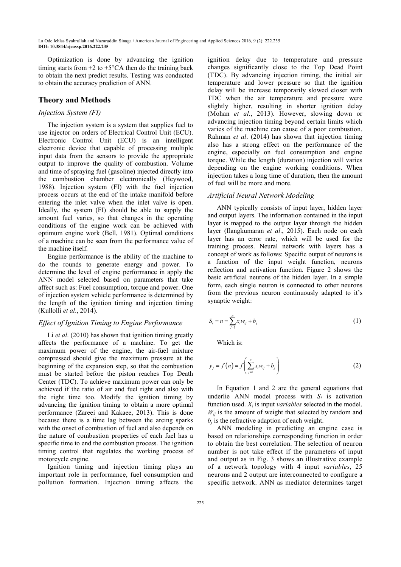Optimization is done by advancing the ignition timing starts from  $+2$  to  $+5^{\circ}CA$  then do the training back to obtain the next predict results. Testing was conducted to obtain the accuracy prediction of ANN.

# **Theory and Methods**

# *Injection System (FI)*

The injection system is a system that supplies fuel to use injector on orders of Electrical Control Unit (ECU). Electronic Control Unit (ECU) is an intelligent electronic device that capable of processing multiple input data from the sensors to provide the appropriate output to improve the quality of combustion. Volume and time of spraying fuel (gasoline) injected directly into the combustion chamber electronically (Heywood, 1988). Injection system (FI) with the fuel injection process occurs at the end of the intake manifold before entering the inlet valve when the inlet valve is open. Ideally, the system (FI) should be able to supply the amount fuel varies, so that changes in the operating conditions of the engine work can be achieved with optimum engine work (Bell, 1981). Optimal conditions of a machine can be seen from the performance value of the machine itself.

Engine performance is the ability of the machine to do the rounds to generate energy and power. To determine the level of engine performance in apply the ANN model selected based on parameters that take affect such as: Fuel consumption, torque and power. One of injection system vehicle performance is determined by the length of the ignition timing and injection timing (Kullolli *et al*., 2014).

# *Effect of Ignition Timing to Engine Performance*

Li *et al*. (2010) has shown that ignition timing greatly affects the performance of a machine. To get the maximum power of the engine, the air-fuel mixture compressed should give the maximum pressure at the beginning of the expansion step, so that the combustion must be started before the piston reaches Top Death Center (TDC). To achieve maximum power can only be achieved if the ratio of air and fuel right and also with the right time too. Modify the ignition timing by advancing the ignition timing to obtain a more optimal performance (Zareei and Kakaee, 2013). This is done because there is a time lag between the arcing sparks with the onset of combustion of fuel and also depends on the nature of combustion properties of each fuel has a specific time to end the combustion process. The ignition timing control that regulates the working process of motorcycle engine.

Ignition timing and injection timing plays an important role in performance, fuel consumption and pollution formation. Injection timing affects the ignition delay due to temperature and pressure changes significantly close to the Top Dead Point (TDC). By advancing injection timing, the initial air temperature and lower pressure so that the ignition delay will be increase temporarily slowed closer with TDC when the air temperature and pressure were slightly higher, resulting in shorter ignition delay (Mohan *et al*., 2013). However, slowing down or advancing injection timing beyond certain limits which varies of the machine can cause of a poor combustion. Rahman *et al*. (2014) has shown that injection timing also has a strong effect on the performance of the engine, especially on fuel consumption and engine torque. While the length (duration) injection will varies depending on the engine working conditions. When injection takes a long time of duration, then the amount of fuel will be more and more.

# *Artificial Neural Network Modeling*

ANN typically consists of input layer, hidden layer and output layers. The information contained in the input layer is mapped to the output layer through the hidden layer (Ilangkumaran *et al*., 2015). Each node on each layer has an error rate, which will be used for the training process. Neural network with layers has a concept of work as follows: Specific output of neurons is a function of the input weight function, neurons reflection and activation function. Figure 2 shows the basic artificial neurons of the hidden layer. In a simple form, each single neuron is connected to other neurons from the previous neuron continuously adapted to it's synaptic weight:

$$
S_i = n = \sum_{j=1}^{n} x_i w_{ij} + b_j
$$
 (1)

Which is:

$$
y_{j} = f(n) = f\left(\sum_{j=1}^{n} x_{i} w_{ij} + b_{j}\right)
$$
 (2)

In Equation 1 and 2 are the general equations that underlie ANN model process with  $S_i$  is activation function used.  $X_i$  is input *variables* selected in the model.  $W_{ii}$  is the amount of weight that selected by random and  $b_j$  is the refractive adaption of each weight.

ANN modeling in predicting an engine case is based on relationships corresponding function in order to obtain the best correlation. The selection of neuron number is not take effect if the parameters of input and output as in Fig. 3 shows an illustrative example of a network topology with 4 input *variables*, 25 neurons and 2 output are interconnected to configure a specific network. ANN as mediator determines target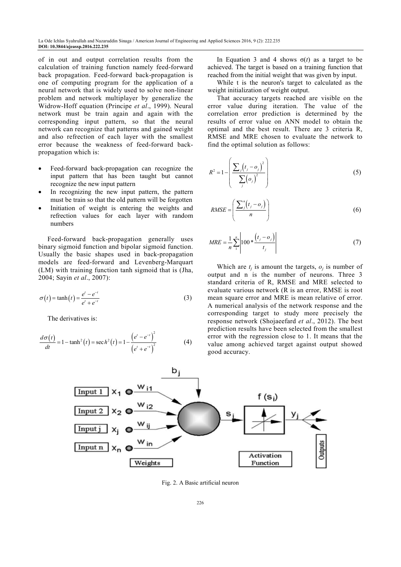of in out and output correlation results from the calculation of training function namely feed-forward back propagation. Feed-forward back-propagation is one of computing program for the application of a neural network that is widely used to solve non-linear problem and network multiplayer by generalize the Widrow-Hoff equation (Principe *et al*., 1999). Neural network must be train again and again with the corresponding input pattern, so that the neural network can recognize that patterns and gained weight and also refrection of each layer with the smallest error because the weakness of feed-forward backpropagation which is:

- Feed-forward back-propagation can recognize the input pattern that has been taught but cannot recognize the new input pattern
- In recognizing the new input pattern, the pattern must be train so that the old pattern will be forgotten
- Initiation of weight is entering the weights and refrection values for each layer with random numbers

Feed-forward back-propagation generally uses binary sigmoid function and bipolar sigmoid function. Usually the basic shapes used in back-propagation models are feed-forward and Levenberg-Marquart (LM) with training function tanh sigmoid that is (Jha, 2004; Sayin *et al*., 2007):

$$
\sigma(t) = \tanh(t) = \frac{e^t - e^{-t}}{e^t + e^{-t}}
$$
\n(3)

The derivatives is:

$$
\frac{d\sigma(t)}{dt} = 1 - \tanh^2(t) = \sec h^2(t) = 1 - \frac{\left(e^t - e^{-t}\right)^2}{\left(e^t + e^{-t}\right)^2}
$$
(4)

In Equation 3 and 4 shows  $σ(t)$  as a target to be achieved. The target is based on a training function that reached from the initial weight that was given by input.

While t is the neuron's target to calculated as the weight initialization of weight output.

That accuracy targets reached are visible on the error value during iteration. The value of the correlation error prediction is determined by the results of error value on ANN model to obtain the optimal and the best result. There are 3 criteria R, RMSE and MRE chosen to evaluate the network to find the optimal solution as follows:

$$
R^{2} = 1 - \left(\frac{\sum_{j} (t_{j} - o_{j})^{2}}{\sum_{j} (o_{j})^{2}}\right)
$$
 (5)

$$
RMSE = \left(\frac{\sum_{j}^{n}(t_j - o_j)}{n}\right)
$$
 (6)

$$
MRE = \frac{1}{n} \sum_{i=1}^{n} \left| 100 * \frac{(t_j - o_j)}{t_j} \right| \tag{7}
$$

Which are  $t_j$  is amount the targets,  $o_j$  is number of output and n is the number of neurons. Three 3 standard criteria of R, RMSE and MRE selected to evaluate various network (R is an error, RMSE is root mean square error and MRE is mean relative of error. A numerical analysis of the network response and the corresponding target to study more precisely the response network (Shojaeefard *et al*., 2012). The best prediction results have been selected from the smallest error with the regression close to 1. It means that the value among achieved target against output showed good accuracy.



Fig. 2. A Basic artificial neuron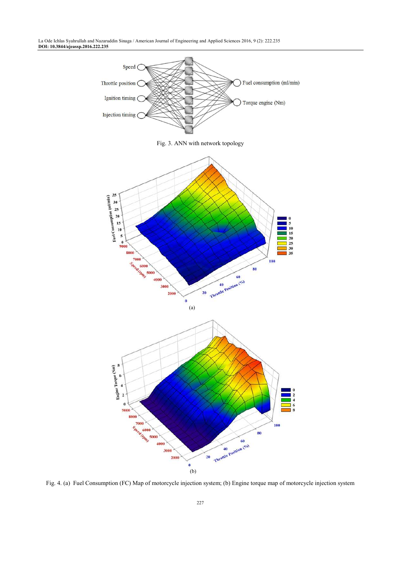

Fig. 3. ANN with network topology



Fig. 4. (a) Fuel Consumption (FC) Map of motorcycle injection system; (b) Engine torque map of motorcycle injection system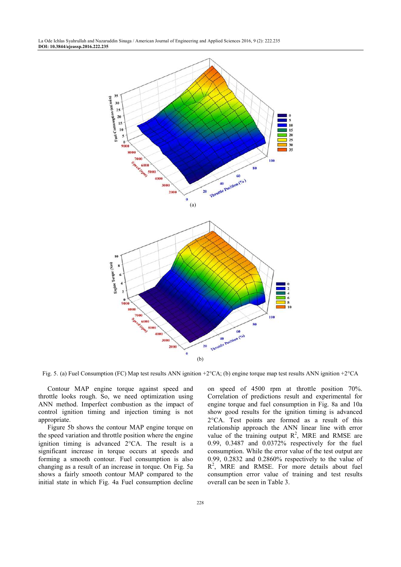

Fig. 5. (a) Fuel Consumption (FC) Map test results ANN ignition +2°CA; (b) engine torque map test results ANN ignition +2°CA

Contour MAP engine torque against speed and throttle looks rough. So, we need optimization using ANN method. Imperfect combustion as the impact of control ignition timing and injection timing is not appropriate.

Figure 5b shows the contour MAP engine torque on the speed variation and throttle position where the engine ignition timing is advanced 2°CA. The result is a significant increase in torque occurs at speeds and forming a smooth contour. Fuel consumption is also changing as a result of an increase in torque. On Fig. 5a shows a fairly smooth contour MAP compared to the initial state in which Fig. 4a Fuel consumption decline on speed of 4500 rpm at throttle position 70%. Correlation of predictions result and experimental for engine torque and fuel consumption in Fig. 8a and 10a show good results for the ignition timing is advanced 2°CA. Test points are formed as a result of this relationship approach the ANN linear line with error value of the training output  $R^2$ , MRE and RMSE are 0.99, 0.3487 and 0.0372% respectively for the fuel consumption. While the error value of the test output are 0.99, 0.2832 and 0.2860% respectively to the value of R<sup>2</sup>, MRE and RMSE. For more details about fuel consumption error value of training and test results overall can be seen in Table 3.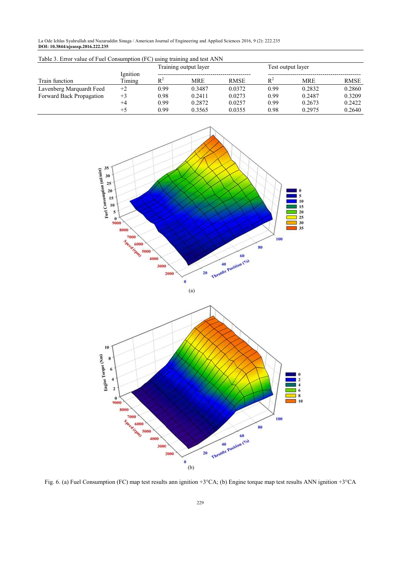| Table 3. Error value of Fuel Consumption (FC) using training and test ANN |                    |       |                       |             |                   |            |             |
|---------------------------------------------------------------------------|--------------------|-------|-----------------------|-------------|-------------------|------------|-------------|
|                                                                           |                    |       | Training output layer |             | Test output layer |            |             |
|                                                                           | Ignition<br>Timing |       |                       |             |                   |            |             |
| Train function                                                            |                    | $R^2$ | <b>MRE</b>            | <b>RMSE</b> | $R^2$             | <b>MRE</b> | <b>RMSE</b> |
| Lavenberg Marquardt Feed                                                  | $+2$               | 0.99  | 0.3487                | 0.0372      | 0.99              | 0.2832     | 0.2860      |
| Forward Back Propagation                                                  | $+3$               | 0.98  | 0.2411                | 0.0273      | 0.99              | 0.2487     | 0.3209      |
|                                                                           | $+4$               | 0.99  | 0.2872                | 0.0257      | 0.99              | 0.2673     | 0.2422      |
|                                                                           | $+5$               | 0.99  | 0.3565                | 0.0355      | 0.98              | 0.2975     | 0.2640      |



Fig. 6. (a) Fuel Consumption (FC) map test results ann ignition +3°CA; (b) Engine torque map test results ANN ignition +3°CA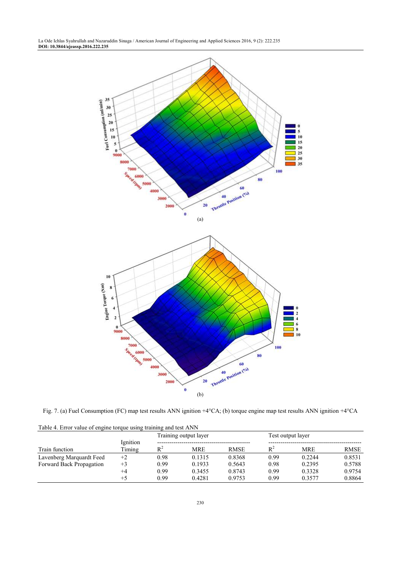

Fig. 7. (a) Fuel Consumption (FC) map test results ANN ignition +4°CA; (b) torque engine map test results ANN ignition +4°CA

| Train function           | Ignition<br>Timing | Training output layer |            |             | Test output layer |            |             |
|--------------------------|--------------------|-----------------------|------------|-------------|-------------------|------------|-------------|
|                          |                    | $R^2$                 | <b>MRE</b> | <b>RMSE</b> | $R^2$             | <b>MRE</b> | <b>RMSE</b> |
| Lavenberg Marquardt Feed | $+2$               | 0.98                  | 0.1315     | 0.8368      | 0.99              | 0.2244     | 0.8531      |
| Forward Back Propagation | $+3$               | 0.99                  | 0.1933     | 0.5643      | 0.98              | 0.2395     | 0.5788      |
|                          | $+4$               | 0.99                  | 0.3455     | 0.8743      | 0.99              | 0.3328     | 0.9754      |
|                          | $+5$               | 0.99                  | 0.4281     | 0.9753      | 0.99              | 0.3577     | 0.8864      |

Table 4. Error value of engine torque using training and test ANN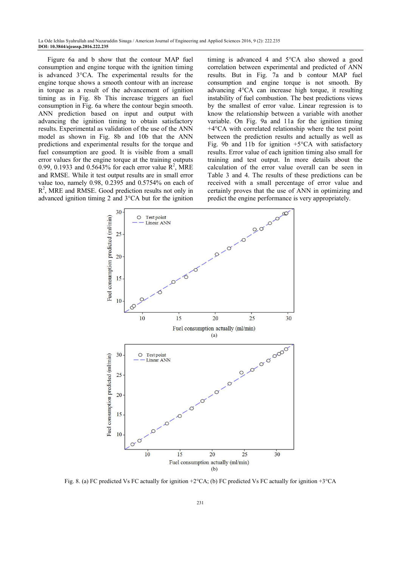Figure 6a and b show that the contour MAP fuel consumption and engine torque with the ignition timing is advanced 3°CA. The experimental results for the engine torque shows a smooth contour with an increase in torque as a result of the advancement of ignition timing as in Fig. 8b This increase triggers an fuel consumption in Fig. 6a where the contour begin smooth. ANN prediction based on input and output with advancing the ignition timing to obtain satisfactory results. Experimental as validation of the use of the ANN model as shown in Fig. 8b and 10b that the ANN predictions and experimental results for the torque and fuel consumption are good. It is visible from a small error values for the engine torque at the training outputs 0.99, 0.1933 and 0.5643% for each error value  $\mathbb{R}^2$ , MRE and RMSE. While it test output results are in small error value too, namely 0.98, 0.2395 and 0.5754% on each of R<sup>2</sup>, MRE and RMSE. Good prediction results not only in advanced ignition timing 2 and 3°CA but for the ignition

timing is advanced 4 and 5°CA also showed a good correlation between experimental and predicted of ANN results. But in Fig. 7a and b contour MAP fuel consumption and engine torque is not smooth. By advancing 4°CA can increase high torque, it resulting instability of fuel combustion. The best predictions views by the smallest of error value. Linear regression is to know the relationship between a variable with another variable. On Fig. 9a and 11a for the ignition timing +4°CA with correlated relationship where the test point between the prediction results and actually as well as Fig. 9b and 11b for ignition  $+5^{\circ}CA$  with satisfactory results. Error value of each ignition timing also small for training and test output. In more details about the calculation of the error value overall can be seen in Table 3 and 4. The results of these predictions can be received with a small percentage of error value and certainly proves that the use of ANN in optimizing and predict the engine performance is very appropriately.



Fig. 8. (a) FC predicted Vs FC actually for ignition +2°CA; (b) FC predicted Vs FC actually for ignition +3°CA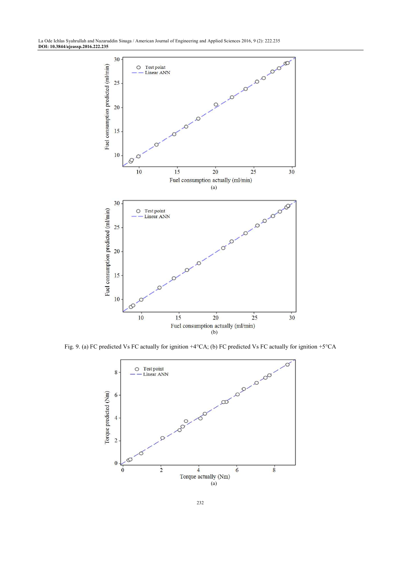

Fig. 9. (a) FC predicted Vs FC actually for ignition +4°CA; (b) FC predicted Vs FC actually for ignition +5°CA

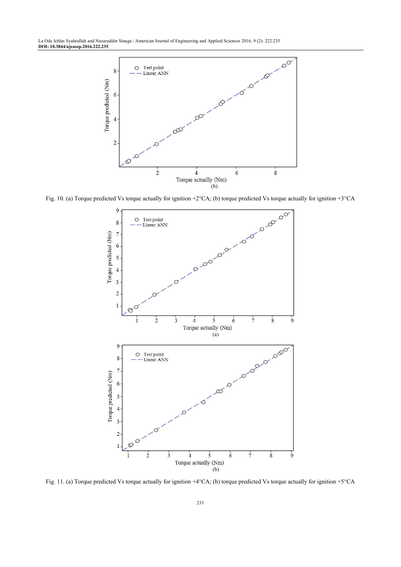

Fig. 10. (a) Torque predicted Vs torque actually for ignition +2°CA; (b) torque predicted Vs torque actually for ignition +3°CA



Fig. 11. (a) Torque predicted Vs torque actually for ignition +4°CA; (b) torque predicted Vs torque actually for ignition +5°CA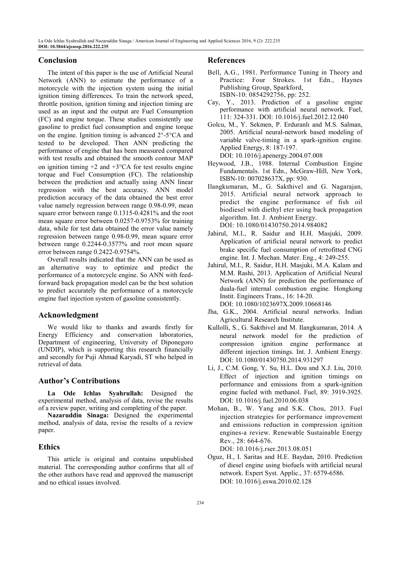# **Conclusion**

The intent of this paper is the use of Artificial Neural Network (ANN) to estimate the performance of a motorcycle with the injection system using the initial ignition timing differences. To train the network speed, throttle position, ignition timing and injection timing are used as an input and the output are Fuel Consumption (FC) and engine torque. These studies consistently use gasoline to predict fuel consumption and engine torque on the engine. Ignition timing is advanced 2°-5°CA and tested to be developed. Then ANN predicting the performance of engine that has been measured compared with test results and obtained the smooth contour MAP on ignition timing  $+2$  and  $+3$ °CA for test results engine torque and Fuel Consumption (FC). The relationship between the prediction and actually using ANN linear regression with the best accuracy. ANN model prediction accuracy of the data obtained the best error value namely regression between range 0.98-0.99, mean square error between range 0.1315-0.4281% and the root mean square error between 0.0257-0.9753% for training data, while for test data obtained the error value namely regression between range 0.98-0.99, mean square error between range 0.2244-0.3577% and root mean square error between range 0.2422-0.9754%.

Overall results indicated that the ANN can be used as an alternative way to optimize and predict the performance of a motorcycle engine. So ANN with feedforward back propagation model can be the best solution to predict accurately the performance of a motorcycle engine fuel injection system of gasoline consistently.

# **Acknowledgment**

We would like to thanks and awards firstly for Energy Efficiency and conservation laboratories, Department of engineering, University of Diponegoro (UNDIP), which is supporting this research financially and secondly for Puji Ahmad Karyadi, ST who helped in retrieval of data.

# **Author's Contributions**

**La Ode Ichlas Syahrullah:** Designed the experimental method, analysis of data, revise the results of a review paper, writing and completing of the paper.

**Nazaruddin Sinaga:** Designed the experimental method, analysis of data, revise the results of a review paper.

# **Ethics**

This article is original and contains unpublished material. The corresponding author confirms that all of the other authors have read and approved the manuscript and no ethical issues involved.

#### **References**

- Bell, A.G., 1981. Performance Tuning in Theory and Practice: Four Strokes. 1st Edn., Haynes Publishing Group, Sparkford, ISBN-10: 0854292756, pp: 252.
- Cay, Y., 2013. Prediction of a gasoline engine performance with artificial neural network. Fuel, 111: 324-331. DOI: 10.1016/j.fuel.2012.12.040
- Golcu, M., Y. Sekmen, P. Erduranlı and M.S. Salman, 2005. Artificial neural-network based modeling of variable valve-timing in a spark-ignition engine. Applied Energy, 8: 187-197.

DOI: 10.1016/j.apenergy.2004.07.008

- Heywood, J.B., 1988. Internal Combustion Engine Fundamentals. 1st Edn., McGraw-Hill, New York, ISBN-10: 007028637X, pp: 930.
- Ilangkumaran, M., G. Sakthivel and G. Nagarajan, 2015. Artificial neural network approach to predict the engine performance of fish oil biodiesel with diethyl eter using back propagation algorithm. Int. J. Ambient Energy. DOI: 10.1080/01430750.2014.984082
- Jahirul, M.I., R. Saidur and H.H. Masjuki, 2009. Application of artificial neural network to predict brake specific fuel consumption of retrofitted CNG engine. Int. J. Mechan. Mater. Eng., 4: 249-255.
- Jahirul, M.I., R. Saidur, H.H. Masjuki, M.A. Kalam and M.M. Rashi, 2013. Application of Artificial Neural Network (ANN) for prediction the performance of duala-fuel internal combustion engine. Hongkong Instit. Engineers Trans., 16: 14-20. DOI: 10.1080/1023697X.2009.10668146
- Jha, G.K., 2004. Artificial neural networks. Indian Agricultural Research Institute.
- Kullolli, S., G. Sakthivel and M. Ilangkumaran, 2014. A neural network model for the prediction of compression ignition engine performance at different injection timings. Int. J. Ambient Energy. DOI: 10.1080/01430750.2014.931297
- Li, J., C.M. Gong, Y. Su, H.L. Dou and X.J. Liu, 2010. Effect of injection and ignition timings on performance and emissions from a spark-ignition engine fueled with methanol. Fuel, 89: 3919-3925. DOI: 10.1016/j.fuel.2010.06.038
- Mohan, B., W. Yang and S.K. Chou, 2013. Fuel injection strategies for performance improvement and emissions reduction in compression ignition engines-a review. Renewable Sustainable Energy Rev., 28: 664-676.

DOI: 10.1016/j.rser.2013.08.051

Oguz, H., I. Saritas and H.E. Baydan, 2010. Prediction of diesel engine using biofuels with artificial neural network. Expert Syst. Applic., 37: 6579-6586. DOI: 10.1016/j.eswa.2010.02.128